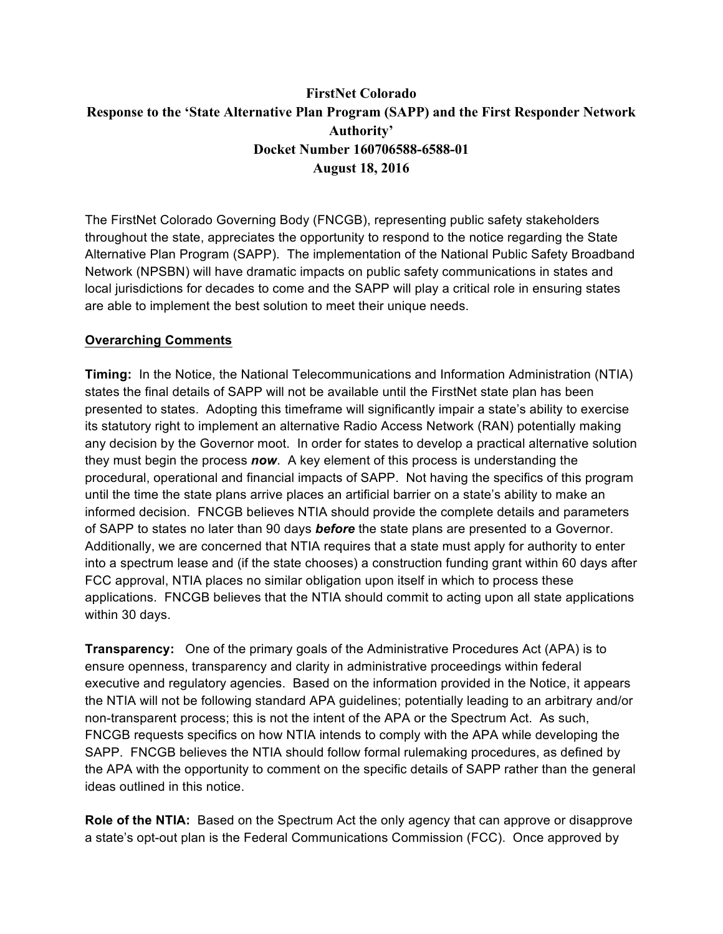# **FirstNet Colorado Response to the 'State Alternative Plan Program (SAPP) and the First Responder Network Authority' Docket Number 160706588-6588-01 August 18, 2016**

The FirstNet Colorado Governing Body (FNCGB), representing public safety stakeholders throughout the state, appreciates the opportunity to respond to the notice regarding the State Alternative Plan Program (SAPP). The implementation of the National Public Safety Broadband Network (NPSBN) will have dramatic impacts on public safety communications in states and local jurisdictions for decades to come and the SAPP will play a critical role in ensuring states are able to implement the best solution to meet their unique needs.

#### **Overarching Comments**

**Timing:** In the Notice, the National Telecommunications and Information Administration (NTIA) states the final details of SAPP will not be available until the FirstNet state plan has been presented to states. Adopting this timeframe will significantly impair a state's ability to exercise its statutory right to implement an alternative Radio Access Network (RAN) potentially making any decision by the Governor moot. In order for states to develop a practical alternative solution they must begin the process *now*. A key element of this process is understanding the procedural, operational and financial impacts of SAPP. Not having the specifics of this program until the time the state plans arrive places an artificial barrier on a state's ability to make an informed decision. FNCGB believes NTIA should provide the complete details and parameters of SAPP to states no later than 90 days *before* the state plans are presented to a Governor. Additionally, we are concerned that NTIA requires that a state must apply for authority to enter into a spectrum lease and (if the state chooses) a construction funding grant within 60 days after FCC approval, NTIA places no similar obligation upon itself in which to process these applications. FNCGB believes that the NTIA should commit to acting upon all state applications within 30 days.

**Transparency:** One of the primary goals of the Administrative Procedures Act (APA) is to ensure openness, transparency and clarity in administrative proceedings within federal executive and regulatory agencies. Based on the information provided in the Notice, it appears the NTIA will not be following standard APA guidelines; potentially leading to an arbitrary and/or non-transparent process; this is not the intent of the APA or the Spectrum Act. As such, FNCGB requests specifics on how NTIA intends to comply with the APA while developing the SAPP. FNCGB believes the NTIA should follow formal rulemaking procedures, as defined by the APA with the opportunity to comment on the specific details of SAPP rather than the general ideas outlined in this notice.

**Role of the NTIA:** Based on the Spectrum Act the only agency that can approve or disapprove a state's opt-out plan is the Federal Communications Commission (FCC). Once approved by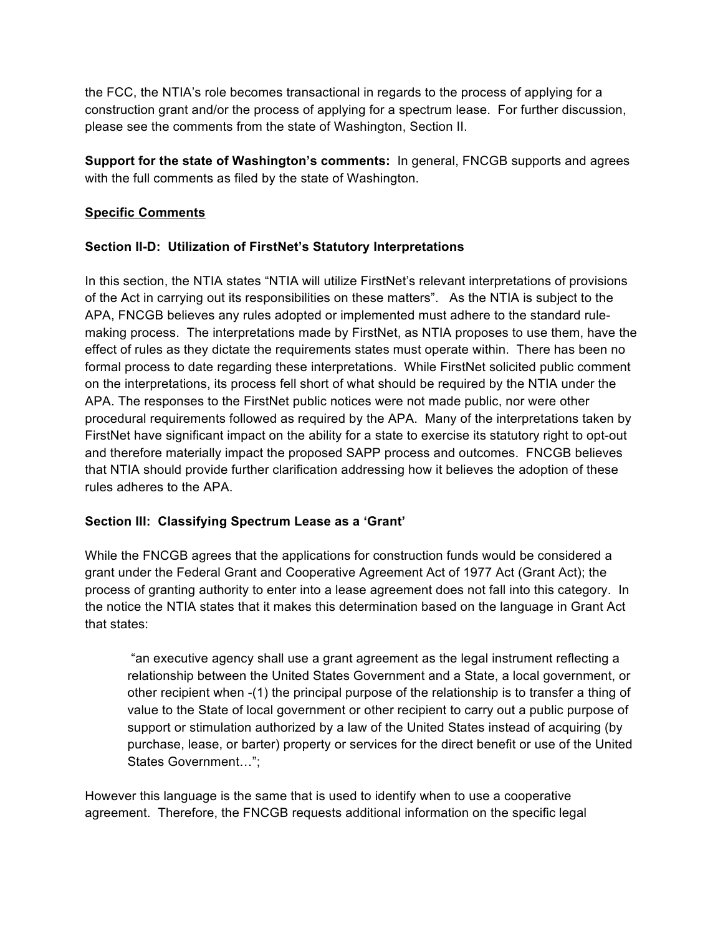the FCC, the NTIA's role becomes transactional in regards to the process of applying for a construction grant and/or the process of applying for a spectrum lease. For further discussion, please see the comments from the state of Washington, Section II.

**Support for the state of Washington's comments:** In general, FNCGB supports and agrees with the full comments as filed by the state of Washington.

### **Specific Comments**

#### **Section II-D: Utilization of FirstNet's Statutory Interpretations**

In this section, the NTIA states "NTIA will utilize FirstNet's relevant interpretations of provisions of the Act in carrying out its responsibilities on these matters". As the NTIA is subject to the APA, FNCGB believes any rules adopted or implemented must adhere to the standard rulemaking process. The interpretations made by FirstNet, as NTIA proposes to use them, have the effect of rules as they dictate the requirements states must operate within. There has been no formal process to date regarding these interpretations. While FirstNet solicited public comment on the interpretations, its process fell short of what should be required by the NTIA under the APA. The responses to the FirstNet public notices were not made public, nor were other procedural requirements followed as required by the APA. Many of the interpretations taken by FirstNet have significant impact on the ability for a state to exercise its statutory right to opt-out and therefore materially impact the proposed SAPP process and outcomes. FNCGB believes that NTIA should provide further clarification addressing how it believes the adoption of these rules adheres to the APA.

#### **Section III: Classifying Spectrum Lease as a 'Grant'**

While the FNCGB agrees that the applications for construction funds would be considered a grant under the Federal Grant and Cooperative Agreement Act of 1977 Act (Grant Act); the process of granting authority to enter into a lease agreement does not fall into this category. In the notice the NTIA states that it makes this determination based on the language in Grant Act that states:

"an executive agency shall use a grant agreement as the legal instrument reflecting a relationship between the United States Government and a State, a local government, or other recipient when -(1) the principal purpose of the relationship is to transfer a thing of value to the State of local government or other recipient to carry out a public purpose of support or stimulation authorized by a law of the United States instead of acquiring (by purchase, lease, or barter) property or services for the direct benefit or use of the United States Government…";

However this language is the same that is used to identify when to use a cooperative agreement. Therefore, the FNCGB requests additional information on the specific legal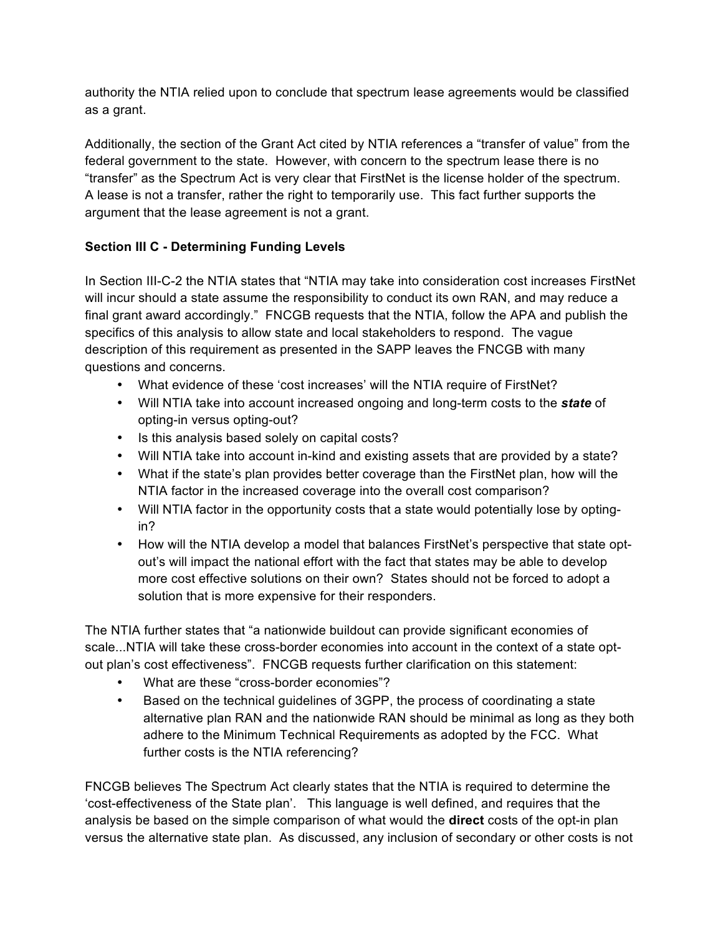authority the NTIA relied upon to conclude that spectrum lease agreements would be classified as a grant.

Additionally, the section of the Grant Act cited by NTIA references a "transfer of value" from the federal government to the state. However, with concern to the spectrum lease there is no "transfer" as the Spectrum Act is very clear that FirstNet is the license holder of the spectrum. A lease is not a transfer, rather the right to temporarily use. This fact further supports the argument that the lease agreement is not a grant.

## **Section III C - Determining Funding Levels**

In Section III-C-2 the NTIA states that "NTIA may take into consideration cost increases FirstNet will incur should a state assume the responsibility to conduct its own RAN, and may reduce a final grant award accordingly." FNCGB requests that the NTIA, follow the APA and publish the specifics of this analysis to allow state and local stakeholders to respond. The vague description of this requirement as presented in the SAPP leaves the FNCGB with many questions and concerns.

- What evidence of these 'cost increases' will the NTIA require of FirstNet?
- Will NTIA take into account increased ongoing and long-term costs to the *state* of opting-in versus opting-out?
- Is this analysis based solely on capital costs?
- Will NTIA take into account in-kind and existing assets that are provided by a state?
- What if the state's plan provides better coverage than the FirstNet plan, how will the NTIA factor in the increased coverage into the overall cost comparison?
- Will NTIA factor in the opportunity costs that a state would potentially lose by optingin?
- How will the NTIA develop a model that balances FirstNet's perspective that state optout's will impact the national effort with the fact that states may be able to develop more cost effective solutions on their own? States should not be forced to adopt a solution that is more expensive for their responders.

The NTIA further states that "a nationwide buildout can provide significant economies of scale...NTIA will take these cross-border economies into account in the context of a state optout plan's cost effectiveness". FNCGB requests further clarification on this statement:

- What are these "cross-border economies"?
- Based on the technical guidelines of 3GPP, the process of coordinating a state alternative plan RAN and the nationwide RAN should be minimal as long as they both adhere to the Minimum Technical Requirements as adopted by the FCC. What further costs is the NTIA referencing?

FNCGB believes The Spectrum Act clearly states that the NTIA is required to determine the 'cost-effectiveness of the State plan'. This language is well defined, and requires that the analysis be based on the simple comparison of what would the **direct** costs of the opt-in plan versus the alternative state plan. As discussed, any inclusion of secondary or other costs is not